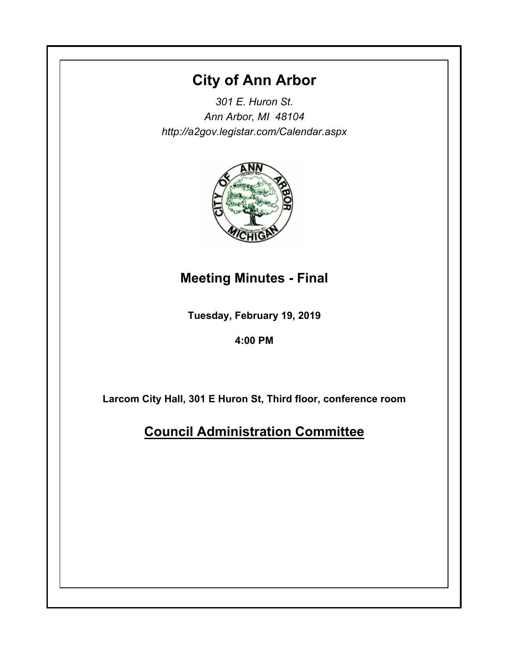## **City of Ann Arbor**

*301 E. Huron St. Ann Arbor, MI 48104 http://a2gov.legistar.com/Calendar.aspx*



# **Meeting Minutes - Final**

**Tuesday, February 19, 2019**

**4:00 PM**

**Larcom City Hall, 301 E Huron St, Third floor, conference room**

**Council Administration Committee**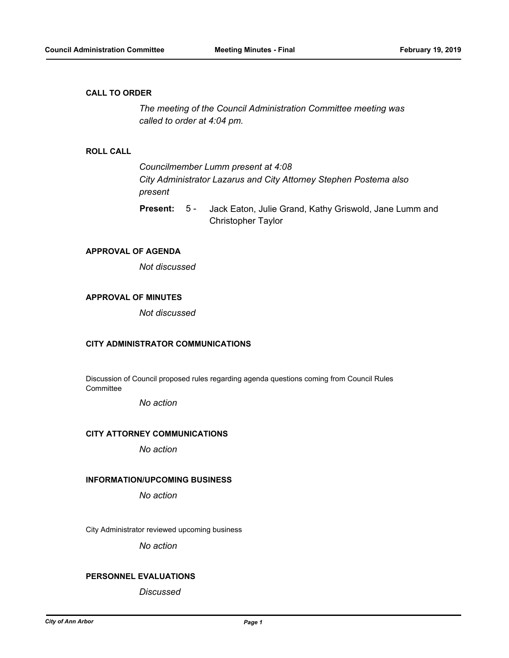#### **CALL TO ORDER**

*The meeting of the Council Administration Committee meeting was called to order at 4:04 pm.*

#### **ROLL CALL**

*Councilmember Lumm present at 4:08 City Administrator Lazarus and City Attorney Stephen Postema also present*

Jack Eaton, Julie Grand, Kathy Griswold, Jane Lumm and Christopher Taylor **Present:** 5 -

## **APPROVAL OF AGENDA**

*Not discussed*

## **APPROVAL OF MINUTES**

*Not discussed*

#### **CITY ADMINISTRATOR COMMUNICATIONS**

Discussion of Council proposed rules regarding agenda questions coming from Council Rules **Committee** 

*No action*

#### **CITY ATTORNEY COMMUNICATIONS**

*No action*

#### **INFORMATION/UPCOMING BUSINESS**

*No action*

City Administrator reviewed upcoming business

*No action*

#### **PERSONNEL EVALUATIONS**

*Discussed*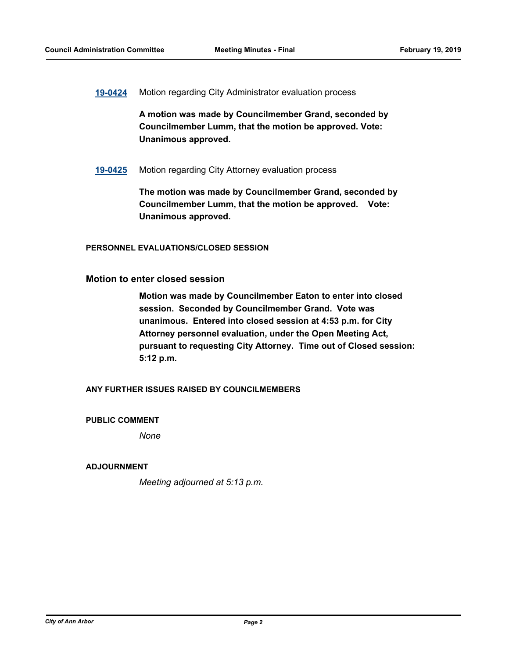**[19-0424](http://a2gov.legistar.com/gateway.aspx?M=L&ID=22117)** Motion regarding City Administrator evaluation process

**A motion was made by Councilmember Grand, seconded by Councilmember Lumm, that the motion be approved. Vote: Unanimous approved.**

**[19-0425](http://a2gov.legistar.com/gateway.aspx?M=L&ID=22118)** Motion regarding City Attorney evaluation process

**The motion was made by Councilmember Grand, seconded by Councilmember Lumm, that the motion be approved. Vote: Unanimous approved.**

**PERSONNEL EVALUATIONS/CLOSED SESSION**

**Motion to enter closed session**

**Motion was made by Councilmember Eaton to enter into closed session. Seconded by Councilmember Grand. Vote was unanimous. Entered into closed session at 4:53 p.m. for City Attorney personnel evaluation, under the Open Meeting Act, pursuant to requesting City Attorney. Time out of Closed session: 5:12 p.m.**

**ANY FURTHER ISSUES RAISED BY COUNCILMEMBERS**

**PUBLIC COMMENT**

*None*

#### **ADJOURNMENT**

*Meeting adjourned at 5:13 p.m.*